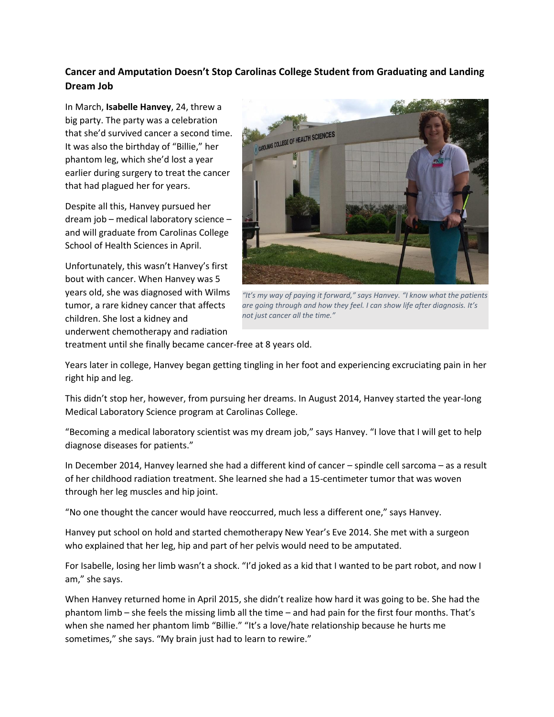## **Cancer and Amputation Doesn't Stop Carolinas College Student from Graduating and Landing Dream Job**

In March, **Isabelle Hanvey**, 24, threw a big party. The party was a celebration that she'd survived cancer a second time. It was also the birthday of "Billie," her phantom leg, which she'd lost a year earlier during surgery to treat the cancer that had plagued her for years.

Despite all this, Hanvey pursued her dream job – medical laboratory science – and will graduate from Carolinas College School of Health Sciences in April.

Unfortunately, this wasn't Hanvey's first bout with cancer. When Hanvey was 5 years old, she was diagnosed with Wilms tumor, a rare kidney cancer that affects children. She lost a kidney and underwent chemotherapy and radiation



*"It's my way of paying it forward," says Hanvey. "I know what the patients are going through and how they feel. I can show life after diagnosis. It's not just cancer all the time."*

treatment until she finally became cancer-free at 8 years old.

Years later in college, Hanvey began getting tingling in her foot and experiencing excruciating pain in her right hip and leg.

This didn't stop her, however, from pursuing her dreams. In August 2014, Hanvey started the year-long Medical Laboratory Science program at Carolinas College.

"Becoming a medical laboratory scientist was my dream job," says Hanvey. "I love that I will get to help diagnose diseases for patients."

In December 2014, Hanvey learned she had a different kind of cancer – spindle cell sarcoma – as a result of her childhood radiation treatment. She learned she had a 15-centimeter tumor that was woven through her leg muscles and hip joint.

"No one thought the cancer would have reoccurred, much less a different one," says Hanvey.

Hanvey put school on hold and started chemotherapy New Year's Eve 2014. She met with a surgeon who explained that her leg, hip and part of her pelvis would need to be amputated.

For Isabelle, losing her limb wasn't a shock. "I'd joked as a kid that I wanted to be part robot, and now I am," she says.

When Hanvey returned home in April 2015, she didn't realize how hard it was going to be. She had the phantom limb – she feels the missing limb all the time – and had pain for the first four months. That's when she named her phantom limb "Billie." "It's a love/hate relationship because he hurts me sometimes," she says. "My brain just had to learn to rewire."